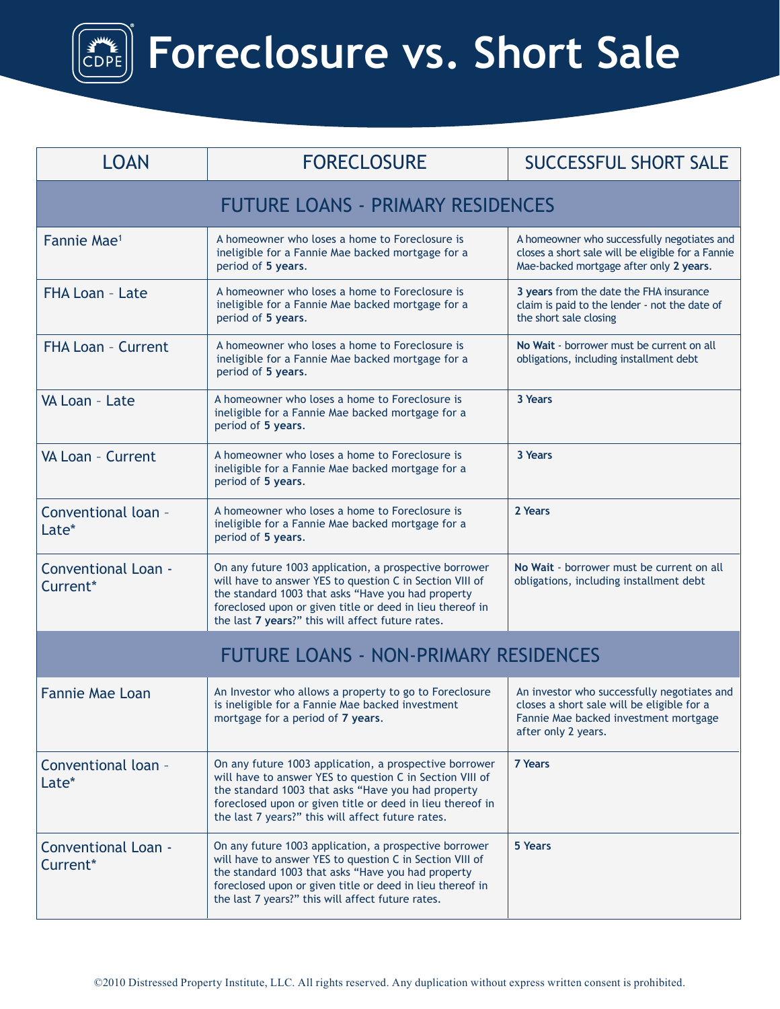## **Foreclosure vs. Short Sale**

| <b>LOAN</b>                                  | <b>FORECLOSURE</b>                                                                                                                                                                                                                                                                         | <b>SUCCESSFUL SHORT SALE</b>                                                                                                                              |  |
|----------------------------------------------|--------------------------------------------------------------------------------------------------------------------------------------------------------------------------------------------------------------------------------------------------------------------------------------------|-----------------------------------------------------------------------------------------------------------------------------------------------------------|--|
| <b>FUTURE LOANS - PRIMARY RESIDENCES</b>     |                                                                                                                                                                                                                                                                                            |                                                                                                                                                           |  |
| Fannie Mae <sup>1</sup>                      | A homeowner who loses a home to Foreclosure is<br>ineligible for a Fannie Mae backed mortgage for a<br>period of 5 years.                                                                                                                                                                  | A homeowner who successfully negotiates and<br>closes a short sale will be eligible for a Fannie<br>Mae-backed mortgage after only 2 years.               |  |
| FHA Loan - Late                              | A homeowner who loses a home to Foreclosure is<br>ineligible for a Fannie Mae backed mortgage for a<br>period of 5 years.                                                                                                                                                                  | 3 years from the date the FHA insurance<br>claim is paid to the lender - not the date of<br>the short sale closing                                        |  |
| <b>FHA Loan - Current</b>                    | A homeowner who loses a home to Foreclosure is<br>ineligible for a Fannie Mae backed mortgage for a<br>period of 5 years.                                                                                                                                                                  | No Wait - borrower must be current on all<br>obligations, including installment debt                                                                      |  |
| VA Loan - Late                               | A homeowner who loses a home to Foreclosure is<br>ineligible for a Fannie Mae backed mortgage for a<br>period of 5 years.                                                                                                                                                                  | 3 Years                                                                                                                                                   |  |
| VA Loan - Current                            | A homeowner who loses a home to Foreclosure is<br>ineligible for a Fannie Mae backed mortgage for a<br>period of 5 years.                                                                                                                                                                  | 3 Years                                                                                                                                                   |  |
| Conventional loan -<br>Late*                 | A homeowner who loses a home to Foreclosure is<br>ineligible for a Fannie Mae backed mortgage for a<br>period of 5 years.                                                                                                                                                                  | 2 Years                                                                                                                                                   |  |
| <b>Conventional Loan -</b><br>Current*       | On any future 1003 application, a prospective borrower<br>will have to answer YES to question C in Section VIII of<br>the standard 1003 that asks "Have you had property<br>foreclosed upon or given title or deed in lieu thereof in<br>the last 7 years?" this will affect future rates. | No Wait - borrower must be current on all<br>obligations, including installment debt                                                                      |  |
| <b>FUTURE LOANS - NON-PRIMARY RESIDENCES</b> |                                                                                                                                                                                                                                                                                            |                                                                                                                                                           |  |
| <b>Fannie Mae Loan</b>                       | An Investor who allows a property to go to Foreclosure<br>is ineligible for a Fannie Mae backed investment<br>mortgage for a period of 7 years.                                                                                                                                            | An investor who successfully negotiates and<br>closes a short sale will be eligible for a<br>Fannie Mae backed investment mortgage<br>after only 2 years. |  |
| Conventional loan -<br>Late*                 | On any future 1003 application, a prospective borrower<br>will have to answer YES to question C in Section VIII of<br>the standard 1003 that asks "Have you had property<br>foreclosed upon or given title or deed in lieu thereof in<br>the last 7 years?" this will affect future rates. | <b>7 Years</b>                                                                                                                                            |  |
| <b>Conventional Loan -</b><br>Current*       | On any future 1003 application, a prospective borrower<br>will have to answer YES to question C in Section VIII of<br>the standard 1003 that asks "Have you had property<br>foreclosed upon or given title or deed in lieu thereof in<br>the last 7 years?" this will affect future rates. | 5 Years                                                                                                                                                   |  |